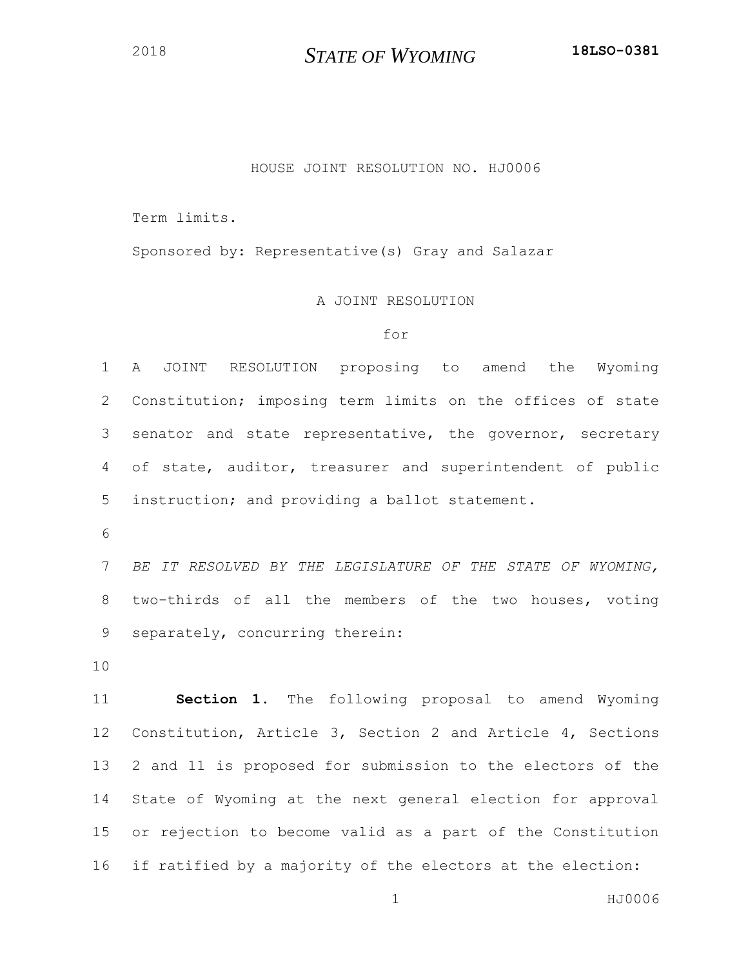*STATE OF WYOMING* **18LSO-0381**

## HOUSE JOINT RESOLUTION NO. HJ0006

Term limits.

Sponsored by: Representative(s) Gray and Salazar

## A JOINT RESOLUTION

## for

 A JOINT RESOLUTION proposing to amend the Wyoming Constitution; imposing term limits on the offices of state senator and state representative, the governor, secretary of state, auditor, treasurer and superintendent of public instruction; and providing a ballot statement.

 *BE IT RESOLVED BY THE LEGISLATURE OF THE STATE OF WYOMING,*  two-thirds of all the members of the two houses, voting separately, concurring therein:

 **Section 1.** The following proposal to amend Wyoming Constitution, Article 3, Section 2 and Article 4, Sections 2 and 11 is proposed for submission to the electors of the State of Wyoming at the next general election for approval or rejection to become valid as a part of the Constitution if ratified by a majority of the electors at the election:

1 HJ0006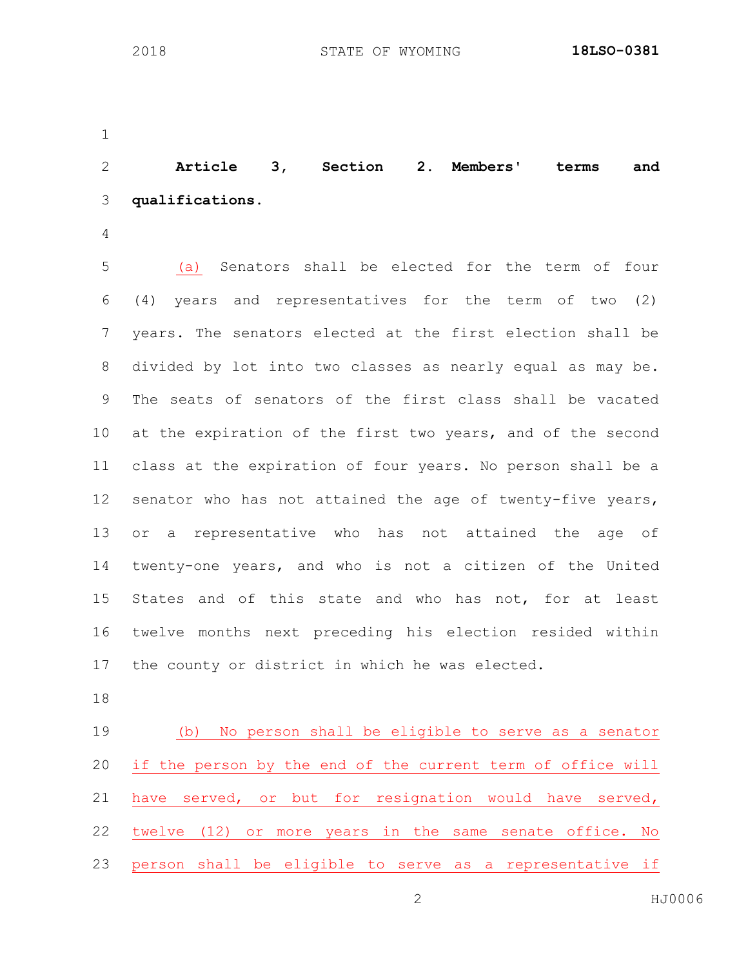**Article 3, Section 2. Members' terms and qualifications.**

 (a) Senators shall be elected for the term of four (4) years and representatives for the term of two (2) years. The senators elected at the first election shall be divided by lot into two classes as nearly equal as may be. The seats of senators of the first class shall be vacated at the expiration of the first two years, and of the second class at the expiration of four years. No person shall be a 12 senator who has not attained the age of twenty-five years, or a representative who has not attained the age of twenty-one years, and who is not a citizen of the United States and of this state and who has not, for at least twelve months next preceding his election resided within the county or district in which he was elected.

 (b) No person shall be eligible to serve as a senator if the person by the end of the current term of office will have served, or but for resignation would have served, twelve (12) or more years in the same senate office. No person shall be eligible to serve as a representative if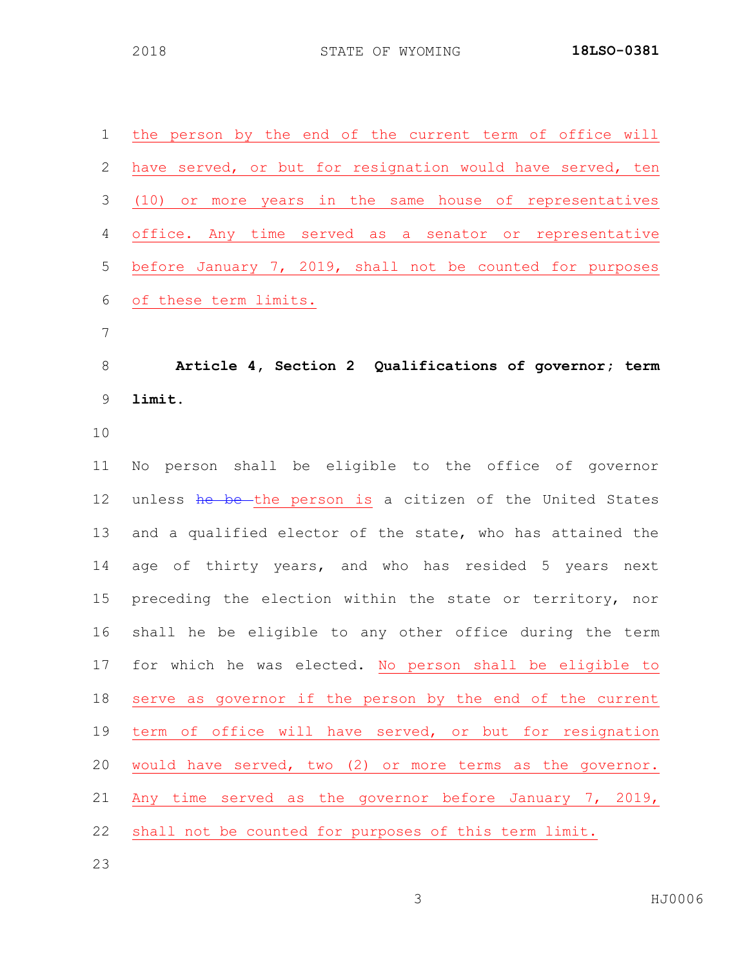| $\mathbf 1$   | the person by the end of the current term of office will   |
|---------------|------------------------------------------------------------|
| $\mathbf{2}$  | have served, or but for resignation would have served, ten |
| 3             | (10) or more years in the same house of representatives    |
| 4             | office. Any time served as a senator or representative     |
| 5             | before January 7, 2019, shall not be counted for purposes  |
| 6             | of these term limits.                                      |
| 7             |                                                            |
| $8\,$         | Article 4, Section 2 Qualifications of governor; term      |
| $\mathcal{G}$ | limit.                                                     |
| 10            |                                                            |
| 11            | No person shall be eligible to the office of governor      |
| 12            | unless he be the person is a citizen of the United States  |
| 13            | and a qualified elector of the state, who has attained the |
| 14            | age of thirty years, and who has resided 5 years next      |
| 15            | preceding the election within the state or territory, nor  |
| 16            | shall he be eligible to any other office during the term   |
| 17            | for which he was elected. No person shall be eligible to   |
| 18            | serve as governor if the person by the end of the current  |
| 19            | term of office will have served, or but for resignation    |
| 20            | would have served, two (2) or more terms as the governor.  |
| 21            | Any time served as the governor before January 7, 2019,    |
| 22            | shall not be counted for purposes of this term limit.      |
| 23            |                                                            |

HJ0006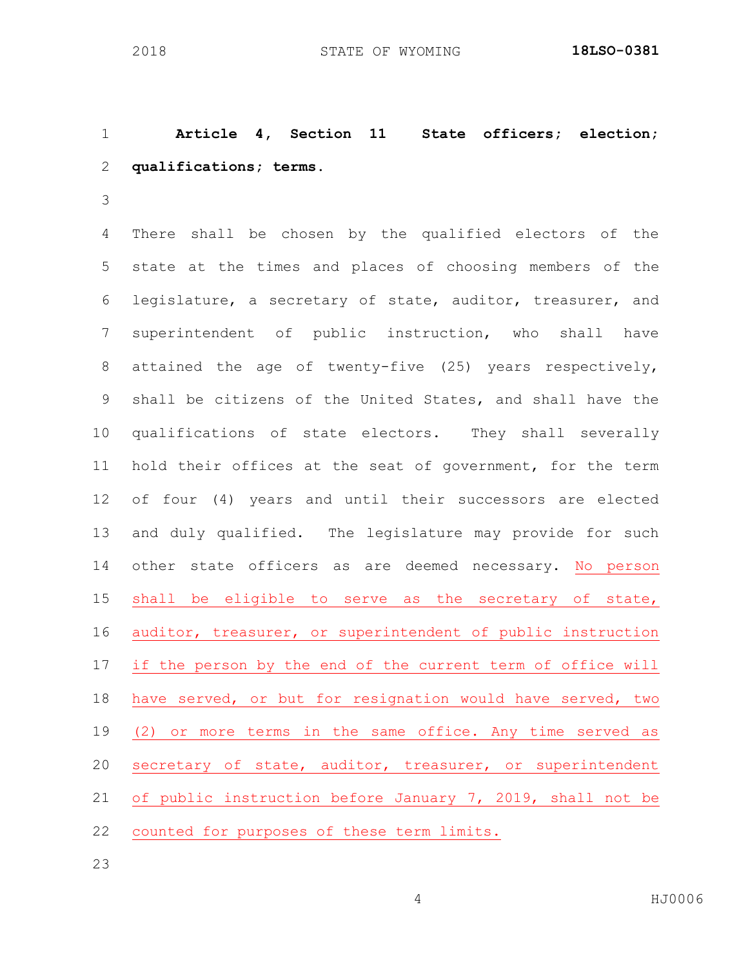**Article 4, Section 11 State officers; election; qualifications; terms.**

 There shall be chosen by the qualified electors of the state at the times and places of choosing members of the legislature, a secretary of state, auditor, treasurer, and superintendent of public instruction, who shall have 8 attained the age of twenty-five (25) years respectively, shall be citizens of the United States, and shall have the qualifications of state electors. They shall severally hold their offices at the seat of government, for the term of four (4) years and until their successors are elected and duly qualified. The legislature may provide for such other state officers as are deemed necessary. No person shall be eligible to serve as the secretary of state, auditor, treasurer, or superintendent of public instruction if the person by the end of the current term of office will have served, or but for resignation would have served, two (2) or more terms in the same office. Any time served as secretary of state, auditor, treasurer, or superintendent of public instruction before January 7, 2019, shall not be counted for purposes of these term limits.